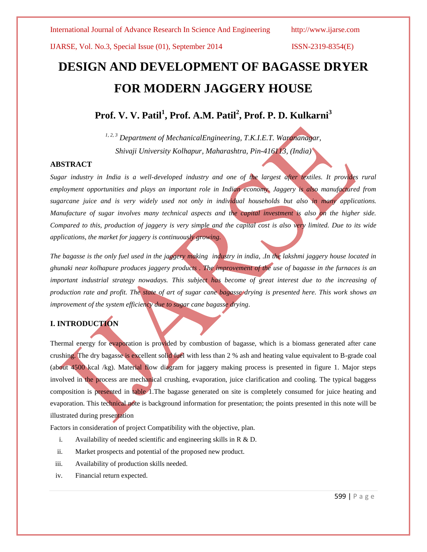# **DESIGN AND DEVELOPMENT OF BAGASSE DRYER FOR MODERN JAGGERY HOUSE**

**Prof. V. V. Patil<sup>1</sup> , Prof. A.M. Patil<sup>2</sup> , Prof. P. D. Kulkarni<sup>3</sup>**

*1, 2, 3 Department of MechanicalEngineering, T.K.I.E.T. Warananagar, Shivaji University Kolhapur, Maharashtra, Pin-416113, (India)*

#### **ABSTRACT**

*Sugar industry in India is a well-developed industry and one of the largest after textiles. It provides rural employment opportunities and plays an important role in Indian economy. Jaggery is also manufactured from sugarcane juice and is very widely used not only in individual households but also in many applications. Manufacture of sugar involves many technical aspects and the capital investment is also on the higher side. Compared to this, production of jaggery is very simple and the capital cost is also very limited. Due to its wide applications, the market for jaggery is continuously growing.* 

*The bagasse is the only fuel used in the jaggery making industry in india, .In the lakshmi jaggery house located in ghunaki near kolhapure produces jaggery products . The improvement of the use of bagasse in the furnaces is an important industrial strategy nowadays. This subject has become of great interest due to the increasing of production rate and profit. The state of art of sugar cane bagasse drying is presented here. This work shows an improvement of the system efficiency due to sugar cane bagasse drying.*

## **I. INTRODUCTION**

Thermal energy for evaporation is provided by combustion of bagasse, which is a biomass generated after cane crushing. The dry bagasse is excellent solid fuel with less than 2 % ash and heating value equivalent to B-grade coal (about 4500 kcal /kg). Material flow diagram for jaggery making process is presented in figure 1. Major steps involved in the process are mechanical crushing, evaporation, juice clarification and cooling. The typical baggess composition is presented in table 1.The bagasse generated on site is completely consumed for juice heating and evaporation. This technical note is background information for presentation; the points presented in this note will be illustrated during presentation

Factors in consideration of project Compatibility with the objective, plan.

- i. Availability of needed scientific and engineering skills in R & D.
- ii. Market prospects and potential of the proposed new product.
- iii. Availability of production skills needed.
- iv. Financial return expected.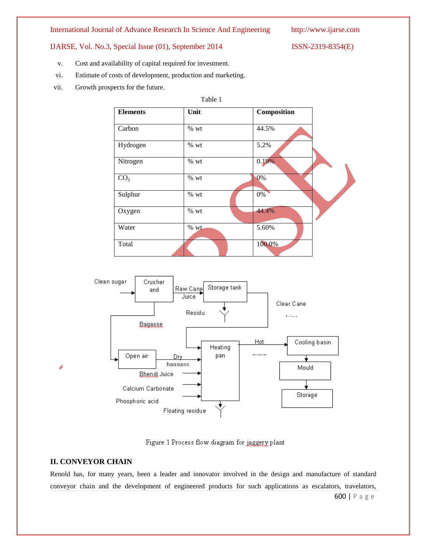International Journal of Advance Research In Science And Engineering http://www.ijarse.com

- v. Cost and availability of capital required for investment.
- vi. Estimate of costs of development, production and marketing.
- vii. Growth prospects for the future.

|                 | Table 1 |             |  |
|-----------------|---------|-------------|--|
| <b>Elements</b> | Unit    | Composition |  |
| Carbon          | $%$ wt  | 44.5%       |  |
| Hydrogen        | % wt    | 5.2%        |  |
| Nitrogen        | % wt    | 0.19%       |  |
| CO <sub>2</sub> | % wt    | 0%          |  |
| Sulphur         | % wt    | 0%          |  |
| Oxygen          | $%$ wt  | 44.4%       |  |
| Water           | $%$ wt  | 5.60%       |  |
| Total           |         | 100.0%      |  |



Figure 1 Process flow diagram for jaggery plant

### **II. CONVEYOR CHAIN**

Renold has, for many years, been a leader and innovator involved in the design and manufacture of standard conveyor chain and the development of engineered products for such applications as escalators, travelators,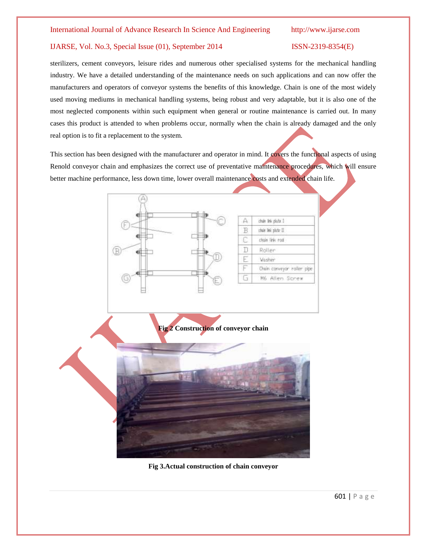sterilizers, cement conveyors, leisure rides and numerous other specialised systems for the mechanical handling industry. We have a detailed understanding of the maintenance needs on such applications and can now offer the manufacturers and operators of conveyor systems the benefits of this knowledge. Chain is one of the most widely used moving mediums in mechanical handling systems, being robust and very adaptable, but it is also one of the most neglected components within such equipment when general or routine maintenance is carried out. In many cases this product is attended to when problems occur, normally when the chain is already damaged and the only real option is to fit a replacement to the system.

This section has been designed with the manufacturer and operator in mind. It covers the functional aspects of using Renold conveyor chain and emphasizes the correct use of preventative maintenance procedures, which will ensure better machine performance, less down time, lower overall maintenance costs and extended chain life.



**Fig 3.Actual construction of chain conveyor**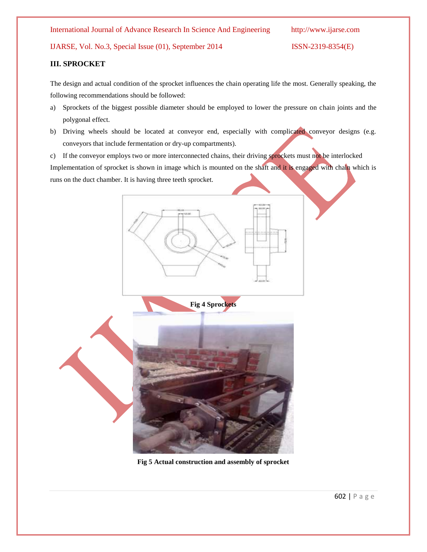#### International Journal of Advance Research In Science And Engineering http://www.ijarse.com

IJARSE, Vol. No.3, Special Issue (01), September 2014 ISSN-2319-8354(E)

### **III. SPROCKET**

The design and actual condition of the sprocket influences the chain operating life the most. Generally speaking, the following recommendations should be followed:

- a) Sprockets of the biggest possible diameter should be employed to lower the pressure on chain joints and the polygonal effect.
- b) Driving wheels should be located at conveyor end, especially with complicated conveyor designs (e.g. conveyors that include fermentation or dry-up compartments).

c) If the conveyor employs two or more interconnected chains, their driving sprockets must not be interlocked Implementation of sprocket is shown in image which is mounted on the shaft and it is engaged with chain which is runs on the duct chamber. It is having three teeth sprocket.



**Fig 5 Actual construction and assembly of sprocket**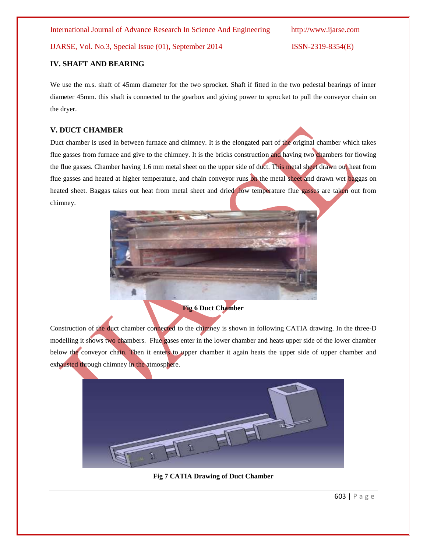International Journal of Advance Research In Science And Engineering http://www.ijarse.com

### IJARSE, Vol. No.3, Special Issue (01), September 2014 ISSN-2319-8354(E)

### **IV. SHAFT AND BEARING**

We use the m.s. shaft of 45mm diameter for the two sprocket. Shaft if fitted in the two pedestal bearings of inner diameter 45mm. this shaft is connected to the gearbox and giving power to sprocket to pull the conveyor chain on the dryer.

### **V. DUCT CHAMBER**

Duct chamber is used in between furnace and chimney. It is the elongated part of the original chamber which takes flue gasses from furnace and give to the chimney. It is the bricks construction and having two chambers for flowing the flue gasses. Chamber having 1.6 mm metal sheet on the upper side of duct. This metal sheet drawn out heat from flue gasses and heated at higher temperature, and chain conveyor runs on the metal sheet and drawn wet baggas on heated sheet. Baggas takes out heat from metal sheet and dried .low temperature flue gasses are taken out from chimney.



**Fig 6 Duct Chamber**

Construction of the duct chamber connected to the chimney is shown in following CATIA drawing. In the three-D modelling it shows two chambers. Flue gases enter in the lower chamber and heats upper side of the lower chamber below the conveyor chain. Then it enters to upper chamber it again heats the upper side of upper chamber and exhausted through chimney in the atmosphere.



**Fig 7 CATIA Drawing of Duct Chamber**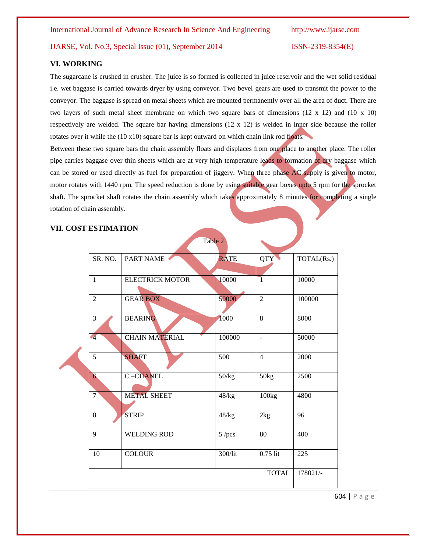#### **VI. WORKING**

The sugarcane is crushed in crusher. The juice is so formed is collected in juice reservoir and the wet solid residual i.e. wet baggase is carried towards dryer by using conveyor. Two bevel gears are used to transmit the power to the conveyor. The baggase is spread on metal sheets which are mounted permanently over all the area of duct. There are two layers of such metal sheet membrane on which two square bars of dimensions (12 x 12) and (10 x 10) respectively are welded. The square bar having dimensions (12 x 12) is welded in inner side because the roller rotates over it while the  $(10 x 10)$  square bar is kept outward on which chain link rod floats.

Between these two square bars the chain assembly floats and displaces from one place to another place. The roller pipe carries baggase over thin sheets which are at very high temperature leads to formation of dry baggase which can be stored or used directly as fuel for preparation of jiggery. When three phase AC supply is given to motor, motor rotates with 1440 rpm. The speed reduction is done by using suitable gear boxes upto 5 rpm for the sprocket shaft. The sprocket shaft rotates the chain assembly which takes approximately 8 minutes for completing a single rotation of chain assembly.

Table 2

#### **VII. COST ESTIMATION**

| SR. NO.        | PART NAME              | <b>RATE</b> | QTY                      | TOTAL(Rs.) |
|----------------|------------------------|-------------|--------------------------|------------|
| $\mathbf{1}$   | <b>ELECTRICK MOTOR</b> | 10000       | $\overline{1}$           | 10000      |
| $\overline{2}$ | <b>GEAR BOX</b>        | 50000       | $\overline{2}$           | 100000     |
| 3              | <b>BEARING</b>         | 1000        | 8                        | 8000       |
| $\sqrt{4}$     | <b>CHAIN MATERIAL</b>  | 100000      | $\overline{\phantom{a}}$ | 50000      |
| $\overline{5}$ | <b>SHAFT</b>           | 500         | $\overline{4}$           | 2000       |
| 6              | C-CHANEL               | 50/kg       | 50kg                     | 2500       |
| $\overline{7}$ | <b>METAL SHEET</b>     | 48/kg       | 100kg                    | 4800       |
| 8              | <b>STRIP</b>           | 48/kg       | 2kg                      | 96         |
| $\mathbf{Q}$   | <b>WELDING ROD</b>     | $5$ /pcs    | 80                       | 400        |
| 10             | <b>COLOUR</b>          | 300/lit     | $0.75$ lit               | 225        |
|                |                        |             | <b>TOTAL</b>             | 178021/-   |

604 | P a g e